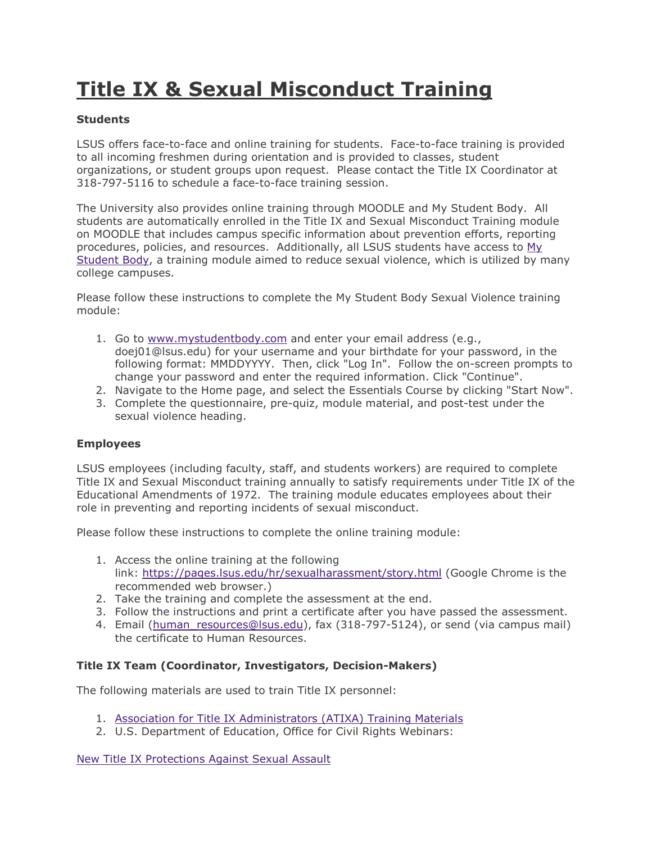## **Title IX & Sexual Misconduct Training**

## **Students**

LSUS offers face-to-face and online training for students. Face-to-face training is provided to all incoming freshmen during orientation and is provided to classes, student organizations, or student groups upon request. Please contact the Title IX Coordinator at 318-797-5116 to schedule a face-to-face training session.

The University also provides online training through MOODLE and My Student Body. All students are automatically enrolled in the Title IX and Sexual Misconduct Training module on MOODLE that includes campus specific information about prevention efforts, reporting procedures, policies, and resources. Additionally, all LSUS students have access to [My](https://www.mystudentbody.com/)  [Student Body,](https://www.mystudentbody.com/) a training module aimed to reduce sexual violence, which is utilized by many college campuses.

Please follow these instructions to complete the My Student Body Sexual Violence training module:

- 1. Go to [www.mystudentbody.com](http://www.mystudentbody.com/) and enter your email address (e.g., doej01@lsus.edu) for your username and your birthdate for your password, in the following format: MMDDYYYY. Then, click "Log In". Follow the on-screen prompts to change your password and enter the required information. Click "Continue".
- 2. Navigate to the Home page, and select the Essentials Course by clicking "Start Now".
- 3. Complete the questionnaire, pre-quiz, module material, and post-test under the sexual violence heading.

## **Employees**

LSUS employees (including faculty, staff, and students workers) are required to complete Title IX and Sexual Misconduct training annually to satisfy requirements under Title IX of the Educational Amendments of 1972. The training module educates employees about their role in preventing and reporting incidents of sexual misconduct.

Please follow these instructions to complete the online training module:

- 1. Access the online training at the following link: <https://pages.lsus.edu/hr/sexualharassment/story.html> (Google Chrome is the recommended web browser.)
- 2. Take the training and complete the assessment at the end.
- 3. Follow the instructions and print a certificate after you have passed the assessment.
- 4. Email (human resources@lsus.edu), fax (318-797-5124), or send (via campus mail) the certificate to Human Resources.

## **Title IX Team (Coordinator, Investigators, Decision-Makers)**

The following materials are used to train Title IX personnel:

- 1. Association for [Title IX Administrators \(ATIXA\) Training Materials](https://atixa.org/2020-regulations-requirement-posting-of-training-materials/)
- 2. U.S. Department of Education, Office for Civil Rights Webinars:

[New Title IX Protections Against Sexual Assault](https://www.youtube.com/watch?v=i-BCnhUsJ4s)